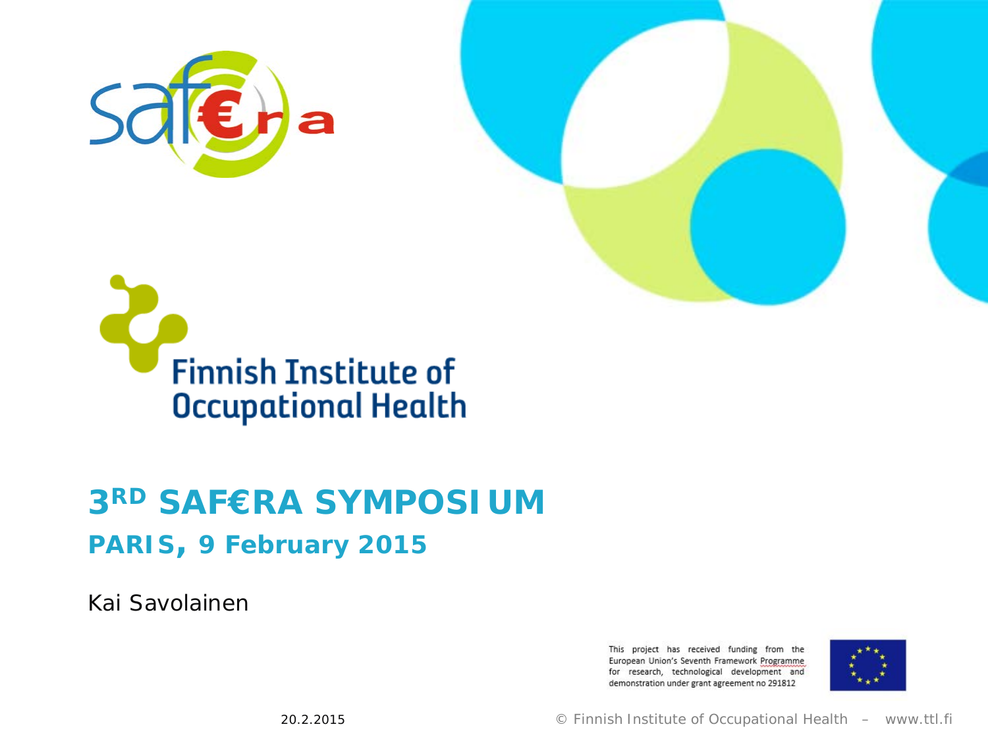





#### **3RD SAF€RA SYMPOSIUM**

#### **PARIS, 9 February 2015**

Kai Savolainen

This project has received funding from the European Union's Seventh Framework Programme for research, technological development and demonstration under grant agreement no 291812

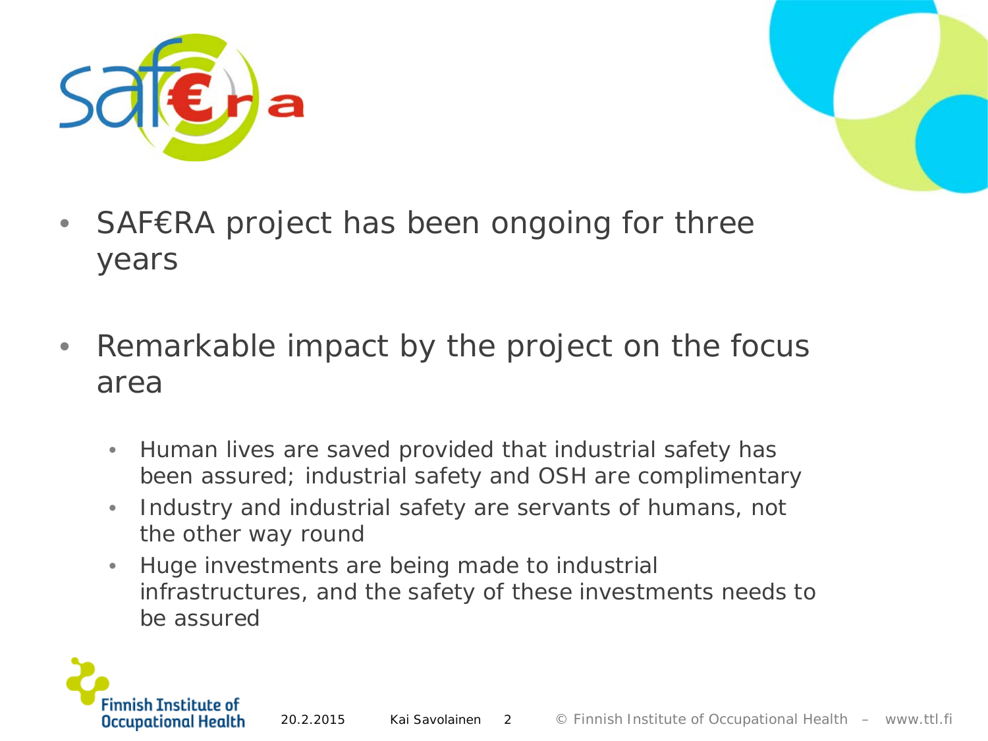



- SAF€RA project has been ongoing for three years
- Remarkable impact by the project on the focus area
	- Human lives are saved provided that industrial safety has been assured; industrial safety and OSH are complimentary
	- Industry and industrial safety are servants of humans, not the other way round
	- Huge investments are being made to industrial infrastructures, and the safety of these investments needs to be assured

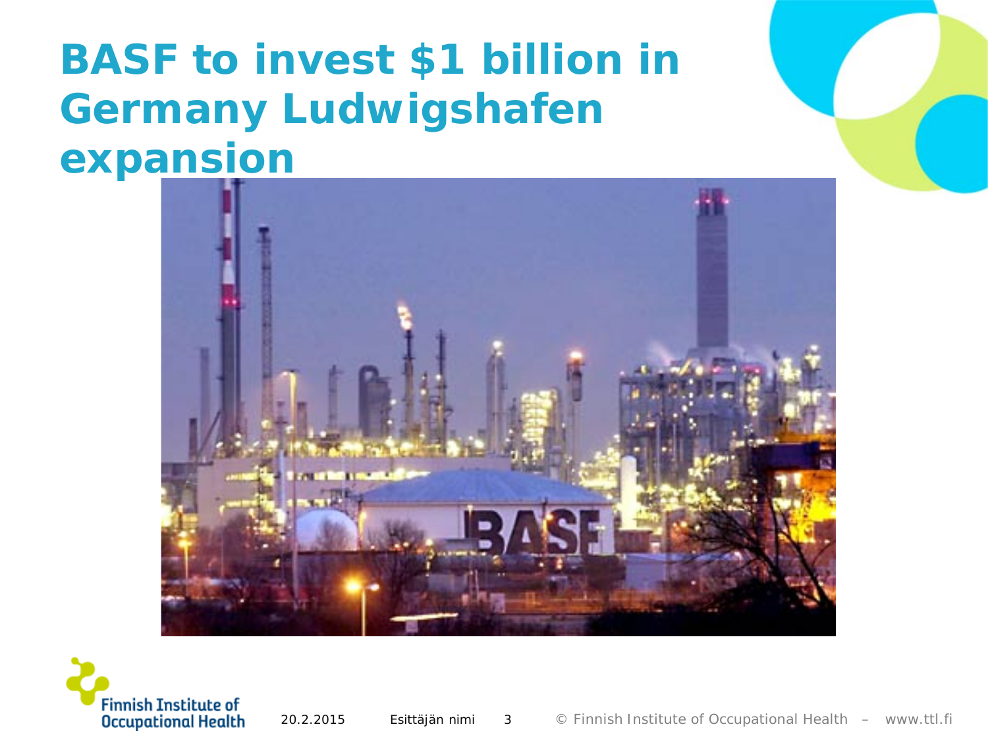### **BASF to invest \$1 billion in Germany Ludwigshafen expansion**



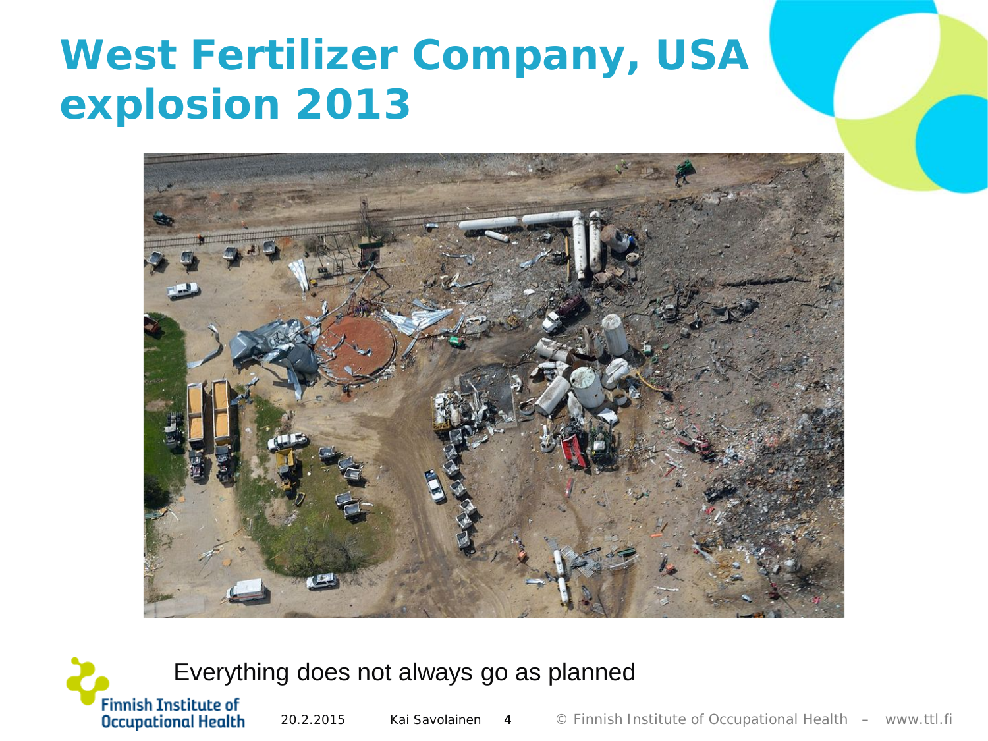### **West Fertilizer Company, USA explosion 2013**



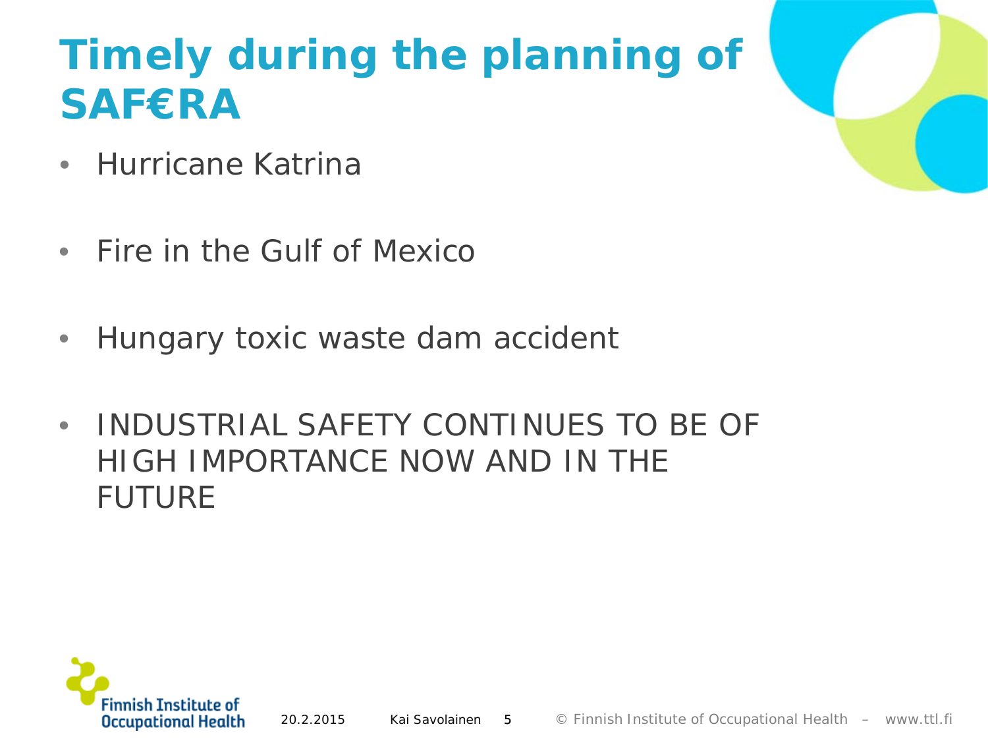### **Timely during the planning of SAF€RA**

- Hurricane Katrina
- Fire in the Gulf of Mexico
- Hungary toxic waste dam accident
- INDUSTRIAL SAFETY CONTINUES TO BE OF HIGH IMPORTANCE NOW AND IN THE FUTURE

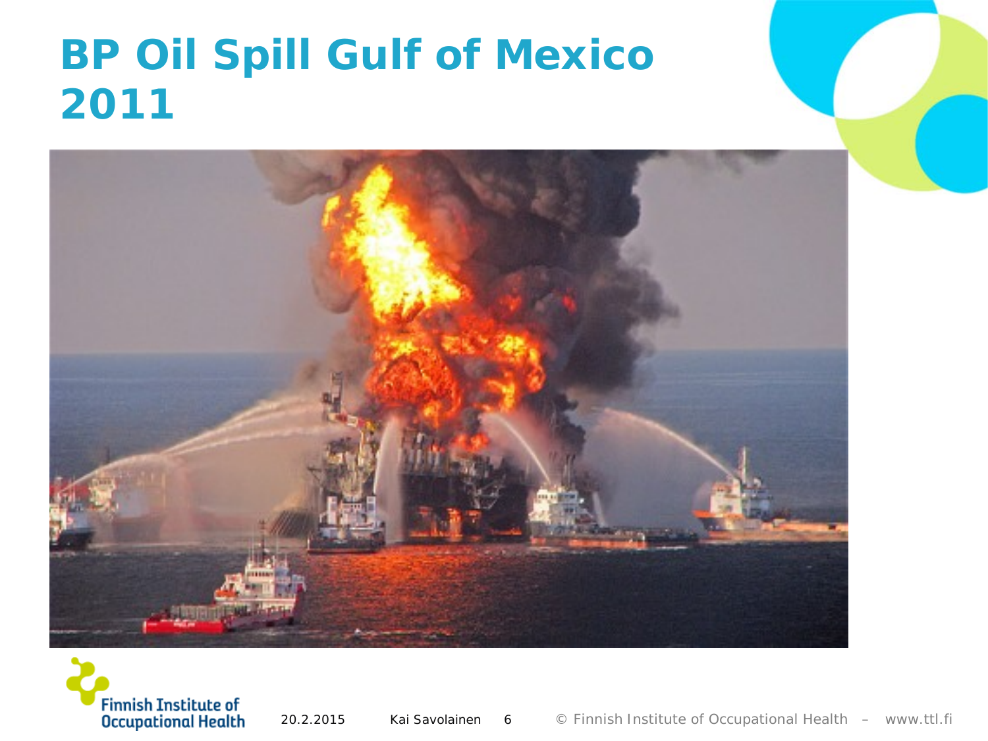## **BP Oil Spill Gulf of Mexico 2011**